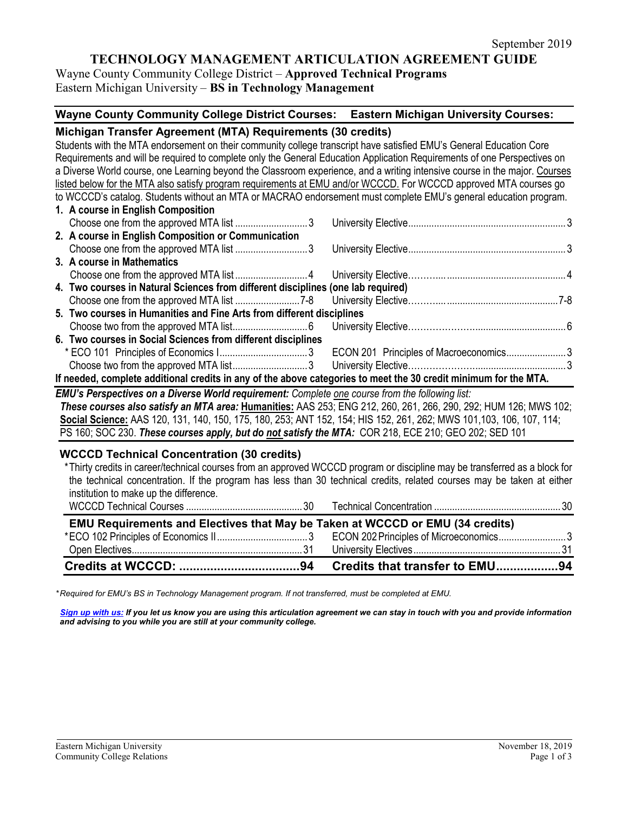# **TECHNOLOGY MANAGEMENT ARTICULATION AGREEMENT GUIDE**

Wayne County Community College District – **Approved Technical Programs** Eastern Michigan University – **BS in Technology Management**

# **Wayne County Community College District Courses: Eastern Michigan University Courses:**

| Michigan Transfer Agreement (MTA) Requirements (30 credits)                                                                |                                                                                                                  |
|----------------------------------------------------------------------------------------------------------------------------|------------------------------------------------------------------------------------------------------------------|
| Students with the MTA endorsement on their community college transcript have satisfied EMU's General Education Core        |                                                                                                                  |
| Requirements and will be required to complete only the General Education Application Requirements of one Perspectives on   |                                                                                                                  |
| a Diverse World course, one Learning beyond the Classroom experience, and a writing intensive course in the major. Courses |                                                                                                                  |
| listed below for the MTA also satisfy program requirements at EMU and/or WCCCD. For WCCCD approved MTA courses go          |                                                                                                                  |
| to WCCCD's catalog. Students without an MTA or MACRAO endorsement must complete EMU's general education program.           |                                                                                                                  |
| 1. A course in English Composition                                                                                         |                                                                                                                  |
|                                                                                                                            |                                                                                                                  |
| 2. A course in English Composition or Communication                                                                        |                                                                                                                  |
|                                                                                                                            |                                                                                                                  |
| 3. A course in Mathematics                                                                                                 |                                                                                                                  |
|                                                                                                                            |                                                                                                                  |
| 4. Two courses in Natural Sciences from different disciplines (one lab required)                                           |                                                                                                                  |
|                                                                                                                            |                                                                                                                  |
| 5. Two courses in Humanities and Fine Arts from different disciplines                                                      |                                                                                                                  |
|                                                                                                                            |                                                                                                                  |
| 6. Two courses in Social Sciences from different disciplines                                                               |                                                                                                                  |
|                                                                                                                            |                                                                                                                  |
|                                                                                                                            |                                                                                                                  |
| If needed, complete additional credits in any of the above categories to meet the 30 credit minimum for the MTA.           |                                                                                                                  |
| EMU's Perspectives on a Diverse World requirement: Complete one course from the following list:                            |                                                                                                                  |
|                                                                                                                            | These courses also satisfy an MTA area: Humanities: AAS 253; ENG 212, 260, 261, 266, 290, 292; HUM 126; MWS 102; |
| Social Science: AAS 120, 131, 140, 150, 175, 180, 253; ANT 152, 154; HIS 152, 261, 262; MWS 101, 103, 106, 107, 114;       |                                                                                                                  |
| PS 160; SOC 230. These courses apply, but do not satisfy the MTA: COR 218, ECE 210; GEO 202; SED 101                       |                                                                                                                  |

### **WCCCD Technical Concentration (30 credits)**

\*Thirty credits in career/technical courses from an approved WCCCD program or discipline may be transferred as a block for the technical concentration. If the program has less than 30 technical credits, related courses may be taken at either institution to make up the difference. WCCCD Technical Courses .............................................30 Technical Concentration .................................................30 **EMU Requirements and Electives that May be Taken at WCCCD or EMU (34 credits)** \*ECO 102 Principles of Economics II...................................3 ECON 202Principles of Microeconomics..........................3 Open Electives.................................................................. 31 University Electives.........................................................31 **Credits at WCCCD: ...................................94 Credits that transfer to EMU..................94**

*\* Required for EMU's BS in Technology Management program. If not transferred, must be completed at EMU.* 

*[Sign up with us:](https://www.emich.edu/ccr/articulation-agreements/signup.php) If you let us know you are using this articulation agreement we can stay in touch with you and provide information and advising to you while you are still at your community college.*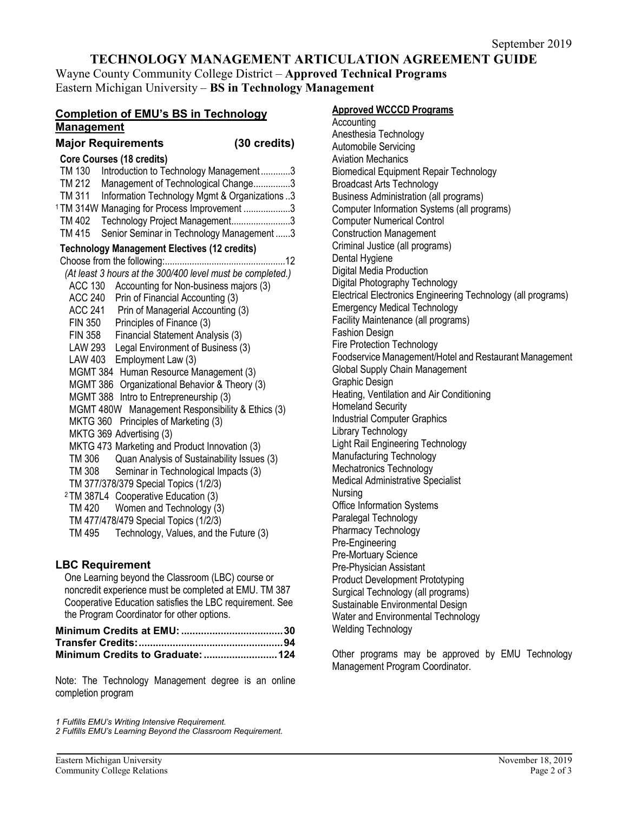# **TECHNOLOGY MANAGEMENT ARTICULATION AGREEMENT GUIDE**

Wayne County Community College District – **Approved Technical Programs** Eastern Michigan University – **BS in Technology Management**

# **Completion of EMU's BS in Technology Management**

# **Major Requirements (30 credits)**

| <b>Core Courses (18 credits)</b>                           |
|------------------------------------------------------------|
| TM 130<br>Introduction to Technology Management3           |
| Management of Technological Change3<br>TM 212              |
| TM 311<br>Information Technology Mgmt & Organizations3     |
| 1TM 314W Managing for Process Improvement 3                |
| Technology Project Management3<br>TM 402                   |
| <b>TM415</b><br>Senior Seminar in Technology Management3   |
| <b>Technology Management Electives (12 credits)</b>        |
|                                                            |
| (At least 3 hours at the 300/400 level must be completed.) |
| <b>ACC 130</b><br>Accounting for Non-business majors (3)   |
| ACC 240<br>Prin of Financial Accounting (3)                |
| ACC 241 Prin of Managerial Accounting (3)                  |
| Principles of Finance (3)<br><b>FIN 350</b>                |
| FIN 358<br>Financial Statement Analysis (3)                |
| LAW 293<br>Legal Environment of Business (3)               |
| LAW 403<br>Employment Law (3)                              |
| MGMT 384 Human Resource Management (3)                     |
| MGMT 386 Organizational Behavior & Theory (3)              |
| MGMT 388 Intro to Entrepreneurship (3)                     |
| MGMT 480W Management Responsibility & Ethics (3)           |
| MKTG 360 Principles of Marketing (3)                       |
| MKTG 369 Advertising (3)                                   |
| MKTG 473 Marketing and Product Innovation (3)              |
| Quan Analysis of Sustainability Issues (3)<br>TM 306       |
| Seminar in Technological Impacts (3)<br>TM 308             |
| TM 377/378/379 Special Topics (1/2/3)                      |
| <sup>2</sup> TM 387L4 Cooperative Education (3)            |
| Women and Technology (3)<br><b>TM 420</b>                  |
| TM 477/478/479 Special Topics (1/2/3)                      |
| Technology, Values, and the Future (3)<br>TM 495           |
|                                                            |

# **LBC Requirement**

One Learning beyond the Classroom (LBC) course or noncredit experience must be completed at EMU. TM 387 Cooperative Education satisfies the LBC requirement. See the Program Coordinator for other options.

Note: The Technology Management degree is an online completion program

*1 Fulfills EMU's Writing Intensive Requirement.*

*2 Fulfills EMU's Learning Beyond the Classroom Requirement.* 

# **Approved WCCCD Programs**

### Accounting Anesthesia Technology Automobile Servicing Aviation Mechanics Biomedical Equipment Repair Technology Broadcast Arts Technology Business Administration (all programs) Computer Information Systems (all programs) Computer Numerical Control Construction Management Criminal Justice (all programs) Dental Hygiene Digital Media Production Digital Photography Technology Electrical Electronics Engineering Technology (all programs) Emergency Medical Technology Facility Maintenance (all programs) Fashion Design Fire Protection Technology Foodservice Management/Hotel and Restaurant Management Global Supply Chain Management Graphic Design Heating, Ventilation and Air Conditioning Homeland Security Industrial Computer Graphics Library Technology Light Rail Engineering Technology Manufacturing Technology Mechatronics Technology Medical Administrative Specialist Nursing Office Information Systems Paralegal Technology Pharmacy Technology Pre-Engineering Pre-Mortuary Science Pre-Physician Assistant Product Development Prototyping Surgical Technology (all programs) Sustainable Environmental Design Water and Environmental Technology Welding Technology

Other programs may be approved by EMU Technology Management Program Coordinator.